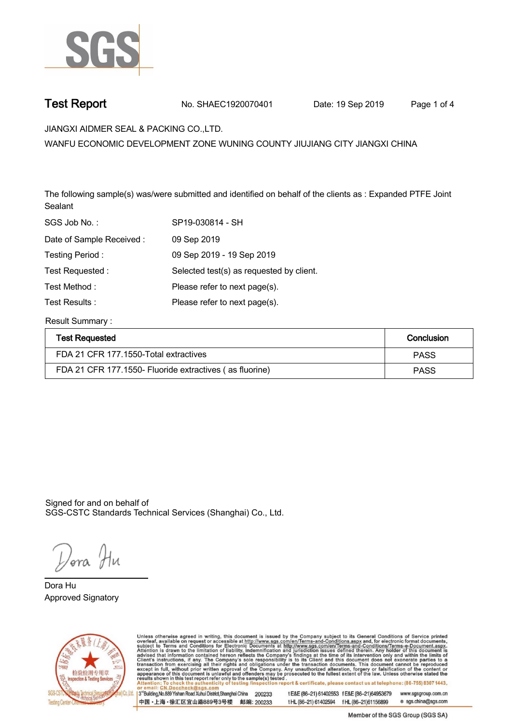

**Test Report. No. SHAEC1920070401** Date: 19 Sep 2019 Page 1 of 4

**JIANGXI AIDMER SEAL & PACKING CO.,LTD. .**

**WANFU ECONOMIC DEVELOPMENT ZONE WUNING COUNTY JIUJIANG CITY JIANGXI CHINA**

**The following sample(s) was/were submitted and identified on behalf of the clients as : Expanded PTFE Joint Sealant.**

| SGS Job No.:             | SP19-030814 - SH                         |
|--------------------------|------------------------------------------|
| Date of Sample Received: | 09 Sep 2019                              |
| Testing Period:          | 09 Sep 2019 - 19 Sep 2019                |
| Test Requested:          | Selected test(s) as requested by client. |
| Test Method:             | Please refer to next page(s).            |
| Test Results:            | Please refer to next page(s).            |
|                          |                                          |

**Result Summary :.**

| <b>Test Requested</b>                                   | Conclusion  |
|---------------------------------------------------------|-------------|
| FDA 21 CFR 177.1550-Total extractives                   | <b>PASS</b> |
| FDA 21 CFR 177.1550- Fluoride extractives (as fluorine) | <b>PASS</b> |

Signed for and on behalf of SGS-CSTC Standards Technical Services (Shanghai) Co., Ltd..

*Dor*a Hu

**Approved Signatory . . . Dora Hu.**



Unless otherwise agreed in writing, this document is issued by the Company subject to its General Conditions of Service printed overleaf, available on request or accessible at http://www.sgs.com/en/Terms-and-Conditions.asp 3<sup>rd</sup>Building, No.889 Yishan Road Xuhui District, Shanghai China 200233 t E&E (86-21) 61402553 f E&E (86-21)64953679 www.sgsgroup.com.cn

中国·上海·徐汇区宜山路889号3号楼 邮编: 200233

tHL (86-21) 61402594 fHL (86-21) 61156899 e sgs.china@sgs.com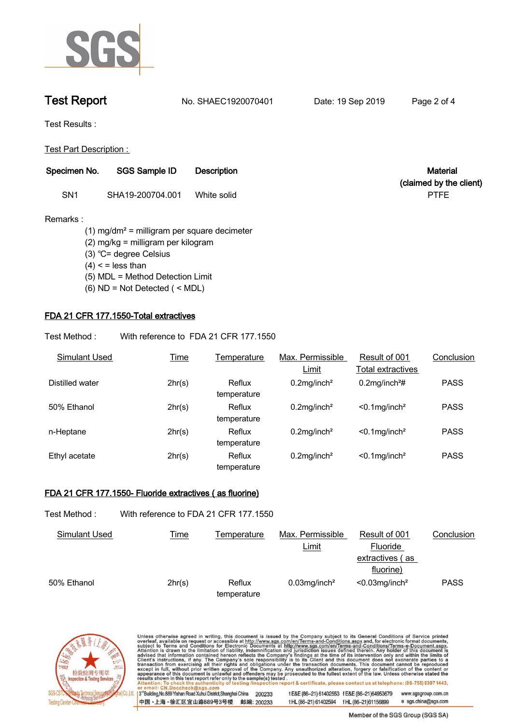

**Test Report. No. SHAEC1920070401** Date: 19 Sep 2019 Page 2 of 4



**Test Results :.**

**Test Part Description : .**

| Specimen No.    | <b>SGS Sample ID</b> | <b>Description</b> | <b>Material</b>         |
|-----------------|----------------------|--------------------|-------------------------|
|                 |                      |                    | (claimed by the client) |
| SN <sub>1</sub> | SHA19-200704.001     | White solid        | <b>PTFE</b>             |

### **Remarks :**

 **(1) mg/dm² = milligram per square decimeter (2) mg/kg = milligram per kilogram (3) ℃= degree Celsius (4) < = less than (5) MDL = Method Detection Limit (6) ND = Not Detected ( < MDL)**

# **FDA 21 CFR 177.1550-Total extractives.**

**Test Method :. With reference to FDA 21 CFR 177.1550 .**

| Simulant Used   | Time   | Temperature           | Max. Permissible           | Result of 001                | Conclusion  |
|-----------------|--------|-----------------------|----------------------------|------------------------------|-------------|
|                 |        |                       | Limit                      | Total extractives            |             |
| Distilled water | 2hr(s) | Reflux<br>temperature | $0.2$ mg/inch <sup>2</sup> | $0.2$ mg/inch <sup>2</sup> # | <b>PASS</b> |
| 50% Ethanol     | 2hr(s) | Reflux<br>temperature | $0.2$ mg/inch <sup>2</sup> | $< 0.1$ mg/inch <sup>2</sup> | <b>PASS</b> |
| n-Heptane       | 2hr(s) | Reflux<br>temperature | $0.2$ mg/inch <sup>2</sup> | $< 0.1$ mg/inch <sup>2</sup> | <b>PASS</b> |
| Ethyl acetate   | 2hr(s) | Reflux<br>temperature | $0.2$ mg/inch <sup>2</sup> | $< 0.1$ mg/inch <sup>2</sup> | <b>PASS</b> |

## **FDA 21 CFR 177.1550- Fluoride extractives ( as fluorine).**

| Test Method :        | With reference to FDA 21 CFR 177.1550 |                       |                             |                                                           |             |
|----------------------|---------------------------------------|-----------------------|-----------------------------|-----------------------------------------------------------|-------------|
| <b>Simulant Used</b> | <b>Time</b>                           | Temperature           | Max. Permissible<br>Limit   | Result of 001<br>Fluoride<br>extractives (as<br>fluorine) | Conclusion  |
| 50% Ethanol          | 2hr(s)                                | Reflux<br>temperature | $0.03$ mg/inch <sup>2</sup> | $< 0.03$ mg/inch <sup>2</sup>                             | <b>PASS</b> |



Unless otherwise agreed in writing, this document is issued by the Company subject to its General Conditions of Service printed overleaf, available on request or accessible at http://www.sgs.com/en/Terms-and-Conditions.asp 3<sup>rd</sup>Building, No.889 Yishan Road Xuhui District, Shanghai China 200233 t E&E (86-21) 61402553 f E&E (86-21)64953679 www.sgsgroup.com.cn

t HL (86-21) 61402594 f HL (86-21) 61156899

中国·上海·徐汇区宜山路889号3号楼 邮编: 200233

Member of the SGS Group (SGS SA)

e sgs.china@sgs.com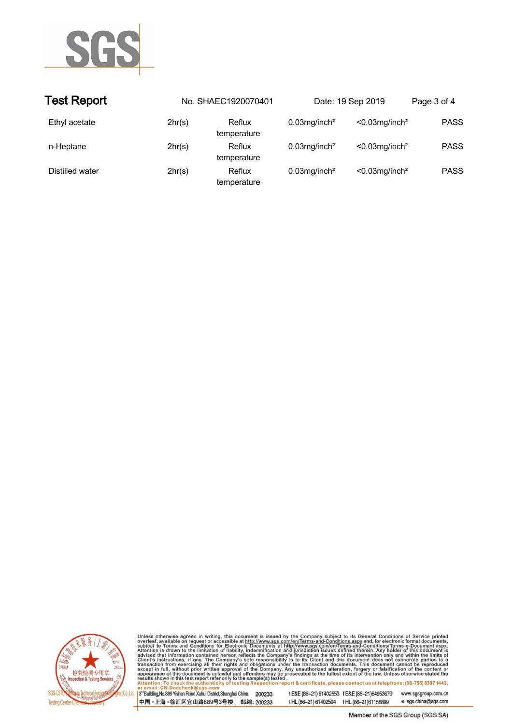

| <b>Test Report</b> |        | No. SHAEC1920070401   |                             | Date: 19 Sep 2019             | Page 3 of 4 |
|--------------------|--------|-----------------------|-----------------------------|-------------------------------|-------------|
| Ethyl acetate      | 2hr(s) | Reflux<br>temperature | $0.03$ mg/inch <sup>2</sup> | $< 0.03$ mg/inch <sup>2</sup> | <b>PASS</b> |
| n-Heptane          | 2hr(s) | Reflux<br>temperature | $0.03$ mg/inch <sup>2</sup> | $< 0.03$ mg/inch <sup>2</sup> | <b>PASS</b> |
| Distilled water    | 2hr(s) | Reflux<br>temperature | $0.03$ mg/inch <sup>2</sup> | $< 0.03$ mg/inch <sup>2</sup> | <b>PASS</b> |



Unless otherwise agreed in writing, this document is issued by the Company subject to its General Conditions of Service printed overleaf, available on request or accessible at http://www.sgs.com/en/Terms-and-Conditions.asp

3<sup>rd</sup>Building, No.889 Yishan Road Xuhui District, Shanghai China 200233 中国·上海·徐汇区宜山路889号3号楼 邮编: 200233 t E&E (86-21) 61402553 f E&E (86-21)64953679 www.sgsgroup.com.cn

t HL (86-21) 61402594 f HL (86-21) 61156899

Member of the SGS Group (SGS SA)

e sgs.china@sgs.com